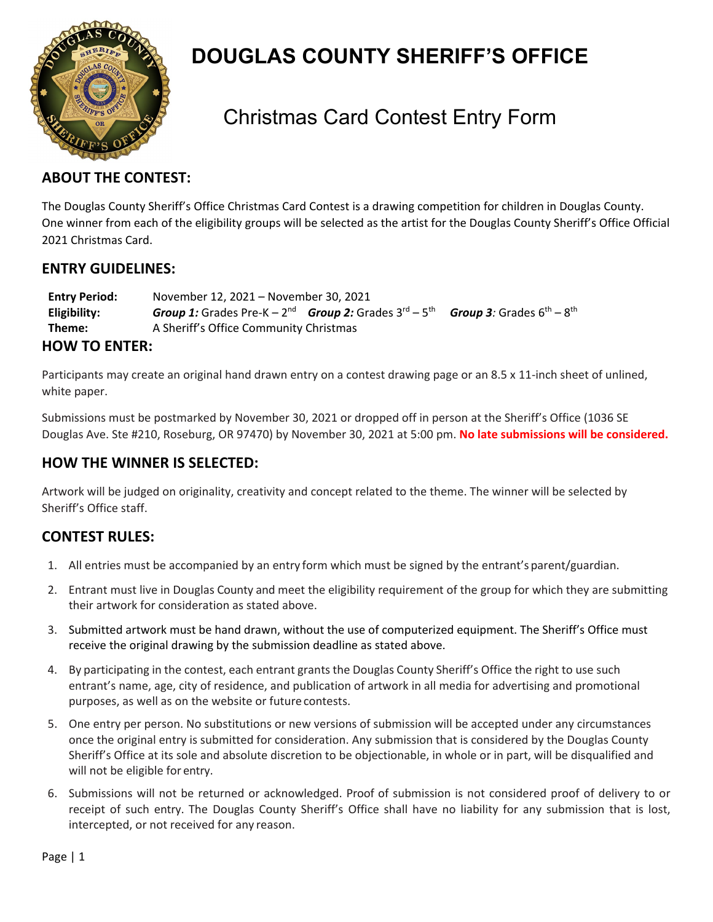

## **DOUGLAS COUNTY SHERIFF'S OFFICE**

### Christmas Card Contest Entry Form

#### **ABOUT THE CONTEST:**

The Douglas County Sheriff's Office Christmas Card Contest is a drawing competition for children in Douglas County. One winner from each of the eligibility groups will be selected as the artist for the Douglas County Sheriff's Office Official 2021 Christmas Card.

#### **ENTRY GUIDELINES:**

| <b>Entry Period:</b> | November 12, 2021 – November 30, 2021                                              |  |                                           |
|----------------------|------------------------------------------------------------------------------------|--|-------------------------------------------|
| Eligibility:         | <b>Group 1:</b> Grades Pre-K – $2^{nd}$ <b>Group 2:</b> Grades $3^{rd}$ – $5^{th}$ |  | <b>Group 3</b> : Grades $6^{th} - 8^{th}$ |
| Theme:               | A Sheriff's Office Community Christmas                                             |  |                                           |
| <b>HOW TO ENTER:</b> |                                                                                    |  |                                           |

Participants may create an original hand drawn entry on a contest drawing page or an 8.5 x 11-inch sheet of unlined, white paper.

Submissions must be postmarked by November 30, 2021 or dropped off in person at the Sheriff's Office (1036 SE Douglas Ave. Ste #210, Roseburg, OR 97470) by November 30, 2021 at 5:00 pm. **No late submissions will be considered.**

### **HOW THE WINNER IS SELECTED:**

Artwork will be judged on originality, creativity and concept related to the theme. The winner will be selected by Sheriff's Office staff.

### **CONTEST RULES:**

- 1. All entries must be accompanied by an entry form which must be signed by the entrant's parent/guardian.
- 2. Entrant must live in Douglas County and meet the eligibility requirement of the group for which they are submitting their artwork for consideration as stated above.
- 3. Submitted artwork must be hand drawn, without the use of computerized equipment. The Sheriff's Office must receive the original drawing by the submission deadline as stated above.
- 4. By participating in the contest, each entrant grants the Douglas County Sheriff's Office the right to use such entrant's name, age, city of residence, and publication of artwork in all media for advertising and promotional purposes, as well as on the website or future contests.
- 5. One entry per person. No substitutions or new versions of submission will be accepted under any circumstances once the original entry is submitted for consideration. Any submission that is considered by the Douglas County Sheriff's Office at its sole and absolute discretion to be objectionable, in whole or in part, will be disqualified and will not be eligible for entry.
- 6. Submissions will not be returned or acknowledged. Proof of submission is not considered proof of delivery to or receipt of such entry. The Douglas County Sheriff's Office shall have no liability for any submission that is lost, intercepted, or not received for any reason.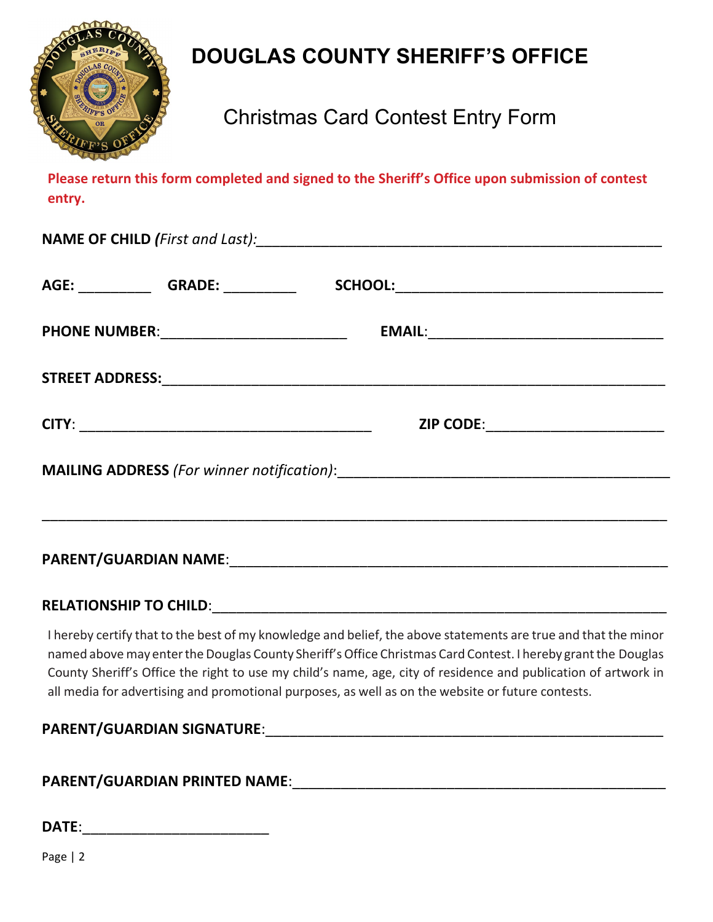

# **DOUGLAS COUNTY SHERIFF'S OFFICE**

## Christmas Card Contest Entry Form

**Please return this form completed and signed to the Sheriff's Office upon submission of contest entry.**

| <b>PHONE NUMBER:_____________________________</b> |                                                                                                                        |  |
|---------------------------------------------------|------------------------------------------------------------------------------------------------------------------------|--|
|                                                   |                                                                                                                        |  |
|                                                   | ZIP CODE:_________________________                                                                                     |  |
|                                                   |                                                                                                                        |  |
|                                                   | <u> 1989 - Andrea Santana, amerikana amerikana amerikana amerikana amerikana amerikana amerikana amerikana amerika</u> |  |
|                                                   |                                                                                                                        |  |

I hereby certify that to the best of my knowledge and belief, the above statements are true and that the minor named above may enter the Douglas County Sheriff's Office Christmas Card Contest. I hereby grant the Douglas County Sheriff's Office the right to use my child's name, age, city of residence and publication of artwork in all media for advertising and promotional purposes, as well as on the website or future contests.

### **PARENT/GUARDIAN SIGNATURE**:\_\_\_\_\_\_\_\_\_\_\_\_\_\_\_\_\_\_\_\_\_\_\_\_\_\_\_\_\_\_\_\_\_\_\_\_\_\_\_\_\_\_\_\_\_\_\_\_\_

### **PARENT/GUARDIAN PRINTED NAME**:\_\_\_\_\_\_\_\_\_\_\_\_\_\_\_\_\_\_\_\_\_\_\_\_\_\_\_\_\_\_\_\_\_\_\_\_\_\_\_\_\_\_\_\_\_\_

| DATE: |  |
|-------|--|
|       |  |